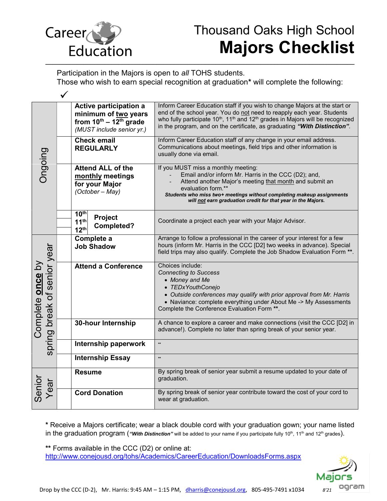

Participation in the Majors is open to all TOHS students.

Those who wish to earn special recognition at graduation\* will complete the following:

| Ongoing                                                |  | Active participation a<br>minimum of two years<br>from $10^{th}$ – $12^{th}$ grade<br>(MUST include senior yr.) |                              | Inform Career Education staff if you wish to change Majors at the start or<br>end of the school year. You do not need to reapply each year. Students<br>who fully participate 10 <sup>th</sup> , 11 <sup>th</sup> and 12 <sup>th</sup> grades in Majors will be recognized<br>in the program, and on the certificate, as graduating "With Distinction". |
|--------------------------------------------------------|--|-----------------------------------------------------------------------------------------------------------------|------------------------------|---------------------------------------------------------------------------------------------------------------------------------------------------------------------------------------------------------------------------------------------------------------------------------------------------------------------------------------------------------|
|                                                        |  | <b>Check email</b><br><b>REGULARLY</b>                                                                          |                              | Inform Career Education staff of any change in your email address.<br>Communications about meetings, field trips and other information is<br>usually done via email.                                                                                                                                                                                    |
|                                                        |  | <b>Attend ALL of the</b><br>monthly meetings<br>for your Major<br>(October - May)                               |                              | If you MUST miss a monthly meeting:<br>Email and/or inform Mr. Harris in the CCC (D2); and,<br>Attend another Major's meeting that month and submit an<br>evaluation form.**<br>Students who miss two+ meetings without completing makeup assignments<br>will not earn graduation credit for that year in the Majors.                                   |
|                                                        |  | 10 <sup>th</sup><br>11 <sup>th</sup><br>12 <sup>th</sup>                                                        | Project<br><b>Completed?</b> | Coordinate a project each year with your Major Advisor.                                                                                                                                                                                                                                                                                                 |
| spring break of senior year<br>Complete <b>once</b> by |  | Complete a<br><b>Job Shadow</b><br><b>Attend a Conference</b>                                                   |                              | Arrange to follow a professional in the career of your interest for a few<br>hours (inform Mr. Harris in the CCC [D2] two weeks in advance). Special<br>field trips may also qualify. Complete the Job Shadow Evaluation Form **.                                                                                                                       |
|                                                        |  |                                                                                                                 |                              | Choices include:<br><b>Connecting to Success</b><br>• Money and Me<br>• TEDxYouthConejo<br>• Outside conferences may qualify with prior approval from Mr. Harris<br>• Naviance: complete everything under About Me -> My Assessments<br>Complete the Conference Evaluation Form **.                                                                     |
|                                                        |  | 30-hour Internship<br>Internship paperwork<br><b>Internship Essay</b>                                           |                              | A chance to explore a career and make connections (visit the CCC [D2] in<br>advance!). Complete no later than spring break of your senior year.                                                                                                                                                                                                         |
|                                                        |  |                                                                                                                 |                              | $\star\star$                                                                                                                                                                                                                                                                                                                                            |
|                                                        |  |                                                                                                                 |                              | $\star\star$                                                                                                                                                                                                                                                                                                                                            |
| Senior<br>Year                                         |  | <b>Resume</b>                                                                                                   |                              | By spring break of senior year submit a resume updated to your date of<br>graduation.                                                                                                                                                                                                                                                                   |
|                                                        |  |                                                                                                                 | <b>Cord Donation</b>         | By spring break of senior year contribute toward the cost of your cord to<br>wear at graduation.                                                                                                                                                                                                                                                        |

\* Receive a Majors certificate; wear a black double cord with your graduation gown; your name listed in the graduation program ("With Distinction" will be added to your name if you participate fully 10<sup>th</sup>, 11<sup>th</sup> and 12<sup>th</sup> grades).

\*\* Forms available in the CCC (D2) or online at:

http://www.conejousd.org/tohs/Academics/CareerEducation/DownloadsForms.aspx